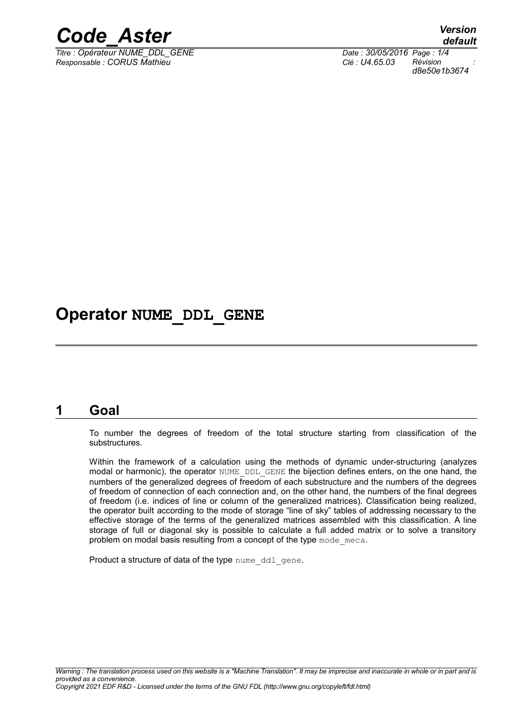

*Titre : Opérateur NUME\_DDL\_GENE Date : 30/05/2016 Page : 1/4 Responsable : CORUS Mathieu Clé : U4.65.03 Révision :*

*default d8e50e1b3674*

### **Operator NUME\_DDL\_GENE**

#### **1 Goal**

To number the degrees of freedom of the total structure starting from classification of the substructures.

Within the framework of a calculation using the methods of dynamic under-structuring (analyzes modal or harmonic), the operator NUME\_DDL\_GENE the bijection defines enters, on the one hand, the numbers of the generalized degrees of freedom of each substructure and the numbers of the degrees of freedom of connection of each connection and, on the other hand, the numbers of the final degrees of freedom (i.e. indices of line or column of the generalized matrices). Classification being realized, the operator built according to the mode of storage "line of sky" tables of addressing necessary to the effective storage of the terms of the generalized matrices assembled with this classification. A line storage of full or diagonal sky is possible to calculate a full added matrix or to solve a transitory problem on modal basis resulting from a concept of the type mode meca.

Product a structure of data of the type nume ddl gene.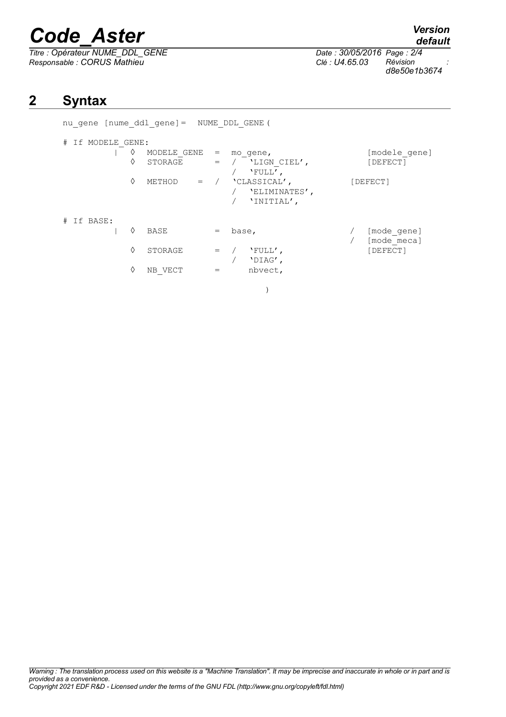# *Code\_Aster Version*

*Titre : Opérateur NUME\_DDL\_GENE Date : 30/05/2016 Page : 2/4 Responsable : CORUS Mathieu Clé : U4.65.03 Révision :*

| # If MODELE GENE: |   |             |                   |                                             |                           |
|-------------------|---|-------------|-------------------|---------------------------------------------|---------------------------|
|                   | ♦ | MODELE GENE | $\qquad \qquad =$ | mo gene,                                    | [modele gene]             |
|                   | ◊ | STORAGE     |                   | $=$ / $'$ LIGN CIEL',<br>'FULL',            | [DEFECT]                  |
|                   | ♦ | METHOD      | $=$ /             | 'CLASSICAL',<br>'ELIMINATES',<br>'INITIAL', | [DEFECT]                  |
| # If BASE:        | ♦ | BASE        |                   | base,                                       | [mode gene]<br>mode mecal |

nu\_gene [nume\_ddl\_gene]= NUME\_DDL\_GENE(

| STORAGE<br>$=$ / $'$ $'$ $\vdots$<br>'DIAG',<br>NB VECT<br>nbvect, |  | BASE | $=$ base, | [mode gene] |
|--------------------------------------------------------------------|--|------|-----------|-------------|
|                                                                    |  |      |           | [mode meca] |
|                                                                    |  |      |           | [DEFECT]    |
|                                                                    |  |      |           |             |

)

**2 Syntax**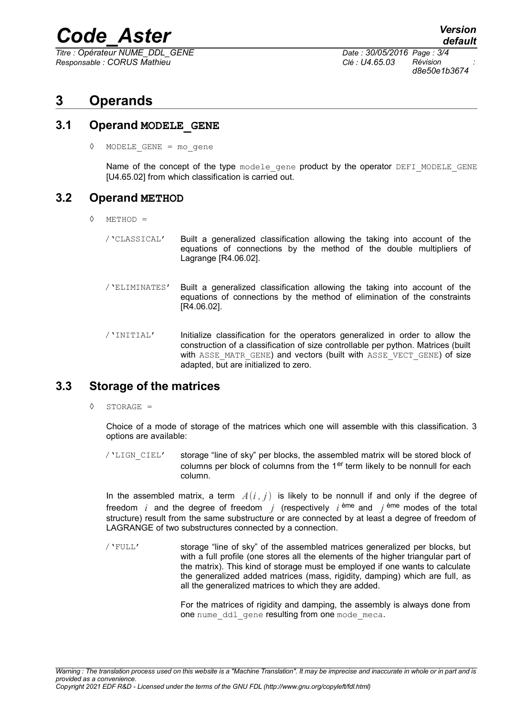### *Code\_Aster Version*

*Titre : Opérateur NUME\_DDL\_GENE Date : 30/05/2016 Page : 3/4 Responsable : CORUS Mathieu Clé : U4.65.03 Révision :*

*d8e50e1b3674*

#### **3 Operands**

#### **3.1 Operand MODELE\_GENE**

◊ MODELE\_GENE = mo\_gene

Name of the concept of the type modele gene product by the operator DEFI\_MODELE\_GENE [U4.65.02] from which classification is carried out.

#### **3.2 Operand METHOD**

- ◊ METHOD =
	- /'CLASSICAL' Built a generalized classification allowing the taking into account of the equations of connections by the method of the double multipliers of Lagrange [R4.06.02].
	- /'ELIMINATES' Built a generalized classification allowing the taking into account of the equations of connections by the method of elimination of the constraints [R4.06.02].
	- /'INITIAL' Initialize classification for the operators generalized in order to allow the construction of a classification of size controllable per python. Matrices (built with ASSE MATR GENE) and vectors (built with ASSE VECT GENE) of size adapted, but are initialized to zero.

#### **3.3 Storage of the matrices**

◊ STORAGE =

Choice of a mode of storage of the matrices which one will assemble with this classification. 3 options are available:

/'LIGN\_CIEL' storage "line of sky" per blocks, the assembled matrix will be stored block of columns per block of columns from the  $1<sup>er</sup>$  term likely to be nonnull for each column.

In the assembled matrix, a term  $A(i, j)$  is likely to be nonnull if and only if the degree of freedom *i* and the degree of freedom *j* (respectively *i*<sup>bme</sup> and *j*<sup>bme</sup> modes of the total structure) result from the same substructure or are connected by at least a degree of freedom of LAGRANGE of two substructures connected by a connection.

/'FULL' storage "line of sky" of the assembled matrices generalized per blocks, but with a full profile (one stores all the elements of the higher triangular part of the matrix). This kind of storage must be employed if one wants to calculate the generalized added matrices (mass, rigidity, damping) which are full, as all the generalized matrices to which they are added.

> For the matrices of rigidity and damping, the assembly is always done from one nume ddl gene resulting from one mode meca.